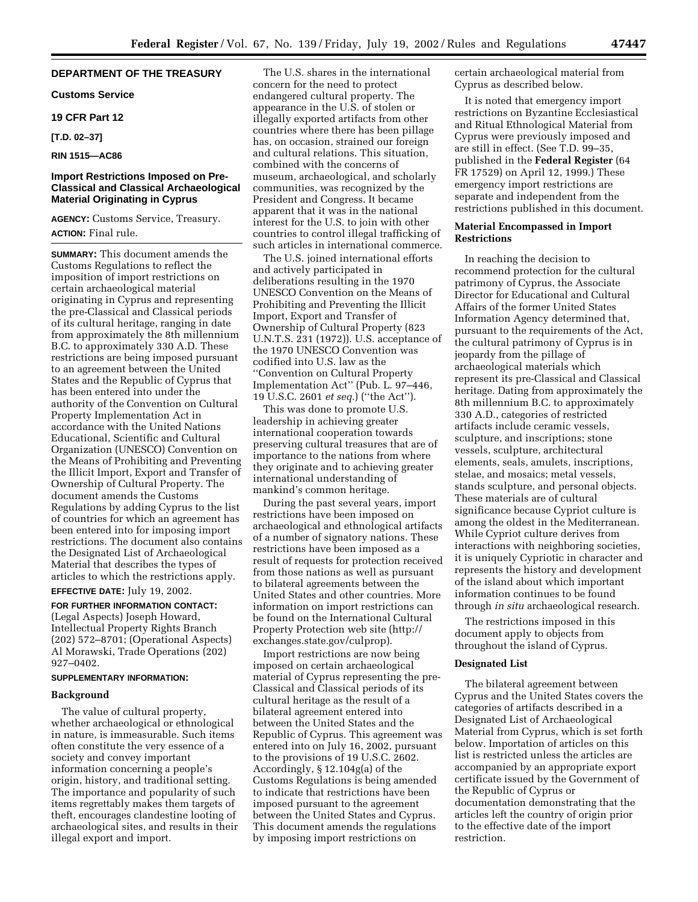# **DEPARTMENT OF THE TREASURY**

**Customs Service**

# **19 CFR Part 12**

**[T.D. 02–37]**

# **RIN 1515—AC86**

# **Import Restrictions Imposed on Pre-Classical and Classical Archaeological Material Originating in Cyprus**

**AGENCY:** Customs Service, Treasury. **ACTION:** Final rule.

**SUMMARY:** This document amends the Customs Regulations to reflect the imposition of import restrictions on certain archaeological material originating in Cyprus and representing the pre-Classical and Classical periods of its cultural heritage, ranging in date from approximately the 8th millennium B.C. to approximately 330 A.D. These restrictions are being imposed pursuant to an agreement between the United States and the Republic of Cyprus that has been entered into under the authority of the Convention on Cultural Property Implementation Act in accordance with the United Nations Educational, Scientific and Cultural Organization (UNESCO) Convention on the Means of Prohibiting and Preventing the Illicit Import, Export and Transfer of Ownership of Cultural Property. The document amends the Customs Regulations by adding Cyprus to the list of countries for which an agreement has been entered into for imposing import restrictions. The document also contains the Designated List of Archaeological Material that describes the types of articles to which the restrictions apply.

**EFFECTIVE DATE:** July 19, 2002.

**FOR FURTHER INFORMATION CONTACT:** (Legal Aspects) Joseph Howard, Intellectual Property Rights Branch (202) 572–8701; (Operational Aspects) Al Morawski, Trade Operations (202) 927–0402.

# **SUPPLEMENTARY INFORMATION:**

## **Background**

The value of cultural property, whether archaeological or ethnological in nature, is immeasurable. Such items often constitute the very essence of a society and convey important information concerning a people's origin, history, and traditional setting. The importance and popularity of such items regrettably makes them targets of theft, encourages clandestine looting of archaeological sites, and results in their illegal export and import.

The U.S. shares in the international concern for the need to protect endangered cultural property. The appearance in the U.S. of stolen or illegally exported artifacts from other countries where there has been pillage has, on occasion, strained our foreign and cultural relations. This situation, combined with the concerns of museum, archaeological, and scholarly communities, was recognized by the President and Congress. It became apparent that it was in the national interest for the U.S. to join with other countries to control illegal trafficking of such articles in international commerce.

The U.S. joined international efforts and actively participated in deliberations resulting in the 1970 UNESCO Convention on the Means of Prohibiting and Preventing the Illicit Import, Export and Transfer of Ownership of Cultural Property (823 U.N.T.S. 231 (1972)). U.S. acceptance of the 1970 UNESCO Convention was codified into U.S. law as the ''Convention on Cultural Property Implementation Act'' (Pub. L. 97–446, 19 U.S.C. 2601 *et seq.*) (''the Act'').

This was done to promote U.S. leadership in achieving greater international cooperation towards preserving cultural treasures that are of importance to the nations from where they originate and to achieving greater international understanding of mankind's common heritage.

During the past several years, import restrictions have been imposed on archaeological and ethnological artifacts of a number of signatory nations. These restrictions have been imposed as a result of requests for protection received from those nations as well as pursuant to bilateral agreements between the United States and other countries. More information on import restrictions can be found on the International Cultural Property Protection web site (http:// exchanges.state.gov/culprop).

Import restrictions are now being imposed on certain archaeological material of Cyprus representing the pre-Classical and Classical periods of its cultural heritage as the result of a bilateral agreement entered into between the United States and the Republic of Cyprus. This agreement was entered into on July 16, 2002, pursuant to the provisions of 19 U.S.C. 2602. Accordingly, § 12.104g(a) of the Customs Regulations is being amended to indicate that restrictions have been imposed pursuant to the agreement between the United States and Cyprus. This document amends the regulations by imposing import restrictions on

certain archaeological material from Cyprus as described below.

It is noted that emergency import restrictions on Byzantine Ecclesiastical and Ritual Ethnological Material from Cyprus were previously imposed and are still in effect. (See T.D. 99–35, published in the **Federal Register** (64 FR 17529) on April 12, 1999.) These emergency import restrictions are separate and independent from the restrictions published in this document.

# **Material Encompassed in Import Restrictions**

In reaching the decision to recommend protection for the cultural patrimony of Cyprus, the Associate Director for Educational and Cultural Affairs of the former United States Information Agency determined that, pursuant to the requirements of the Act, the cultural patrimony of Cyprus is in jeopardy from the pillage of archaeological materials which represent its pre-Classical and Classical heritage. Dating from approximately the 8th millennium B.C. to approximately 330 A.D., categories of restricted artifacts include ceramic vessels, sculpture, and inscriptions; stone vessels, sculpture, architectural elements, seals, amulets, inscriptions, stelae, and mosaics; metal vessels, stands sculpture, and personal objects. These materials are of cultural significance because Cypriot culture is among the oldest in the Mediterranean. While Cypriot culture derives from interactions with neighboring societies, it is uniquely Cypriotic in character and represents the history and development of the island about which important information continues to be found through *in situ* archaeological research.

The restrictions imposed in this document apply to objects from throughout the island of Cyprus.

## **Designated List**

The bilateral agreement between Cyprus and the United States covers the categories of artifacts described in a Designated List of Archaeological Material from Cyprus, which is set forth below. Importation of articles on this list is restricted unless the articles are accompanied by an appropriate export certificate issued by the Government of the Republic of Cyprus or documentation demonstrating that the articles left the country of origin prior to the effective date of the import restriction.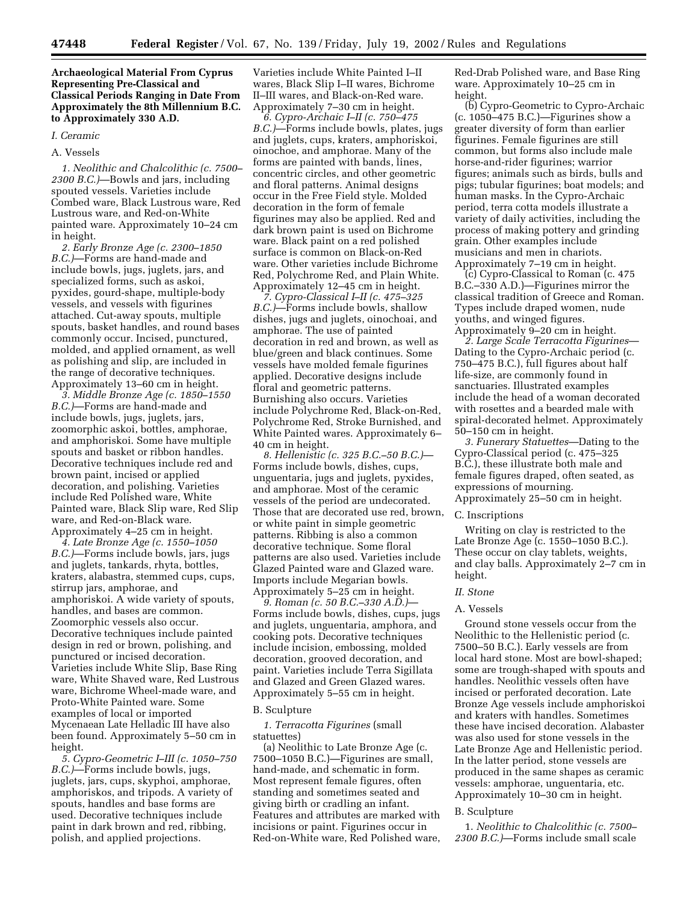# **Archaeological Material From Cyprus Representing Pre-Classical and Classical Periods Ranging in Date From Approximately the 8th Millennium B.C. to Approximately 330 A.D.**

# *I. Ceramic*

## A. Vessels

*1. Neolithic and Chalcolithic (c. 7500– 2300 B.C.)*—Bowls and jars, including spouted vessels. Varieties include Combed ware, Black Lustrous ware, Red Lustrous ware, and Red-on-White painted ware. Approximately 10–24 cm in height.

*2. Early Bronze Age (c. 2300–1850 B.C.)*—Forms are hand-made and include bowls, jugs, juglets, jars, and specialized forms, such as askoi, pyxides, gourd-shape, multiple-body vessels, and vessels with figurines attached. Cut-away spouts, multiple spouts, basket handles, and round bases commonly occur. Incised, punctured, molded, and applied ornament, as well as polishing and slip, are included in the range of decorative techniques. Approximately 13–60 cm in height.

*3. Middle Bronze Age (c. 1850–1550 B.C.)*—Forms are hand-made and include bowls, jugs, juglets, jars, zoomorphic askoi, bottles, amphorae, and amphoriskoi. Some have multiple spouts and basket or ribbon handles. Decorative techniques include red and brown paint, incised or applied decoration, and polishing. Varieties include Red Polished ware, White Painted ware, Black Slip ware, Red Slip ware, and Red-on-Black ware. Approximately 4–25 cm in height.

*4. Late Bronze Age (c. 1550–1050 B.C.)*—Forms include bowls, jars, jugs and juglets, tankards, rhyta, bottles, kraters, alabastra, stemmed cups, cups, stirrup jars, amphorae, and amphoriskoi. A wide variety of spouts, handles, and bases are common. Zoomorphic vessels also occur. Decorative techniques include painted design in red or brown, polishing, and punctured or incised decoration. Varieties include White Slip, Base Ring ware, White Shaved ware, Red Lustrous ware, Bichrome Wheel-made ware, and Proto-White Painted ware. Some examples of local or imported Mycenaean Late Helladic III have also been found. Approximately 5–50 cm in height.

*5. Cypro-Geometric I–III (c. 1050–750 B.C.)*—Forms include bowls, jugs, juglets, jars, cups, skyphoi, amphorae, amphoriskos, and tripods. A variety of spouts, handles and base forms are used. Decorative techniques include paint in dark brown and red, ribbing, polish, and applied projections.

Varieties include White Painted I–II wares, Black Slip I–II wares, Bichrome II–III wares, and Black-on-Red ware. Approximately 7–30 cm in height.

*6. Cypro-Archaic I–II (c. 750–475 B.C.)*—Forms include bowls, plates, jugs and juglets, cups, kraters, amphoriskoi, oinochoe, and amphorae. Many of the forms are painted with bands, lines, concentric circles, and other geometric and floral patterns. Animal designs occur in the Free Field style. Molded decoration in the form of female figurines may also be applied. Red and dark brown paint is used on Bichrome ware. Black paint on a red polished surface is common on Black-on-Red ware. Other varieties include Bichrome Red, Polychrome Red, and Plain White. Approximately 12–45 cm in height.

*7. Cypro-Classical I–II (c. 475–325 B.C.)*—Forms include bowls, shallow dishes, jugs and juglets, oinochoai, and amphorae. The use of painted decoration in red and brown, as well as blue/green and black continues. Some vessels have molded female figurines applied. Decorative designs include floral and geometric patterns. Burnishing also occurs. Varieties include Polychrome Red, Black-on-Red, Polychrome Red, Stroke Burnished, and White Painted wares. Approximately 6– 40 cm in height.

*8. Hellenistic (c. 325 B.C.–50 B.C.)*— Forms include bowls, dishes, cups, unguentaria, jugs and juglets, pyxides, and amphorae. Most of the ceramic vessels of the period are undecorated. Those that are decorated use red, brown, or white paint in simple geometric patterns. Ribbing is also a common decorative technique. Some floral patterns are also used. Varieties include Glazed Painted ware and Glazed ware. Imports include Megarian bowls. Approximately 5–25 cm in height.

*9. Roman (c. 50 B.C.–330 A.D.)*— Forms include bowls, dishes, cups, jugs and juglets, unguentaria, amphora, and cooking pots. Decorative techniques include incision, embossing, molded decoration, grooved decoration, and paint. Varieties include Terra Sigillata and Glazed and Green Glazed wares. Approximately 5–55 cm in height.

#### B. Sculpture

*1. Terracotta Figurines* (small statuettes)

(a) Neolithic to Late Bronze Age (c. 7500–1050 B.C.)—Figurines are small, hand-made, and schematic in form. Most represent female figures, often standing and sometimes seated and giving birth or cradling an infant. Features and attributes are marked with incisions or paint. Figurines occur in Red-on-White ware, Red Polished ware,

Red-Drab Polished ware, and Base Ring ware. Approximately 10–25 cm in height.

(b) Cypro-Geometric to Cypro-Archaic (c. 1050–475 B.C.)—Figurines show a greater diversity of form than earlier figurines. Female figurines are still common, but forms also include male horse-and-rider figurines; warrior figures; animals such as birds, bulls and pigs; tubular figurines; boat models; and human masks. In the Cypro-Archaic period, terra cotta models illustrate a variety of daily activities, including the process of making pottery and grinding grain. Other examples include musicians and men in chariots. Approximately 7–19 cm in height.

(c) Cypro-Classical to Roman (c. 475 B.C.–330 A.D.)—Figurines mirror the classical tradition of Greece and Roman. Types include draped women, nude youths, and winged figures. Approximately 9–20 cm in height.

*2. Large Scale Terracotta Figurines*— Dating to the Cypro-Archaic period (c. 750–475 B.C.), full figures about half life-size, are commonly found in sanctuaries. Illustrated examples include the head of a woman decorated with rosettes and a bearded male with spiral-decorated helmet. Approximately 50–150 cm in height.

*3. Funerary Statuettes*—Dating to the Cypro-Classical period (c. 475–325 B.C.), these illustrate both male and female figures draped, often seated, as expressions of mourning. Approximately 25–50 cm in height.

#### C. Inscriptions

Writing on clay is restricted to the Late Bronze Age (c. 1550–1050 B.C.). These occur on clay tablets, weights, and clay balls. Approximately 2–7 cm in height.

## *II. Stone*

#### A. Vessels

Ground stone vessels occur from the Neolithic to the Hellenistic period (c. 7500–50 B.C.). Early vessels are from local hard stone. Most are bowl-shaped; some are trough-shaped with spouts and handles. Neolithic vessels often have incised or perforated decoration. Late Bronze Age vessels include amphoriskoi and kraters with handles. Sometimes these have incised decoration. Alabaster was also used for stone vessels in the Late Bronze Age and Hellenistic period. In the latter period, stone vessels are produced in the same shapes as ceramic vessels: amphorae, unguentaria, etc. Approximately 10–30 cm in height.

#### B. Sculpture

1. *Neolithic to Chalcolithic (c. 7500– 2300 B.C.)*—Forms include small scale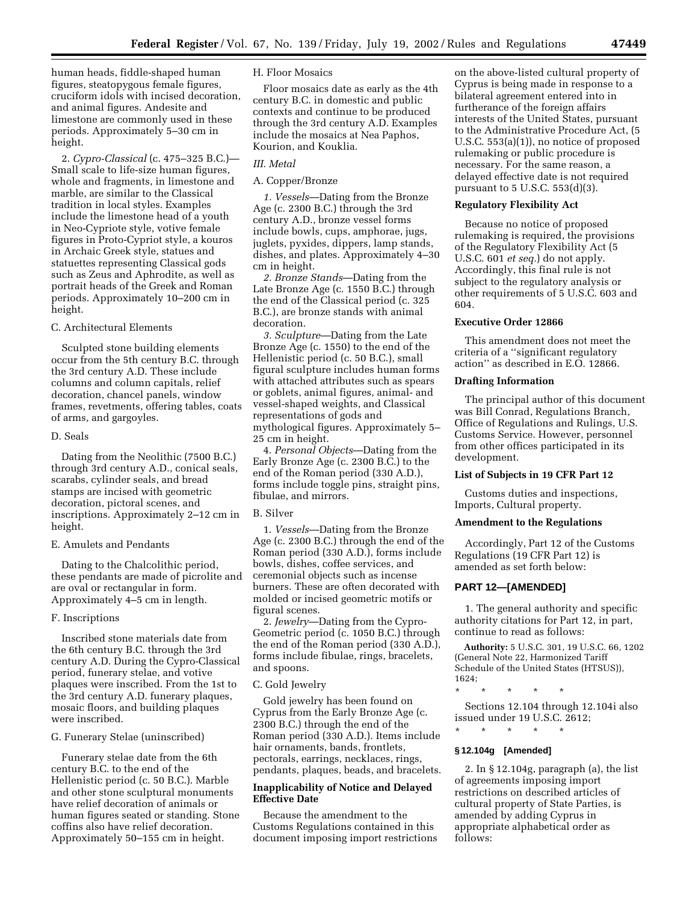human heads, fiddle-shaped human figures, steatopygous female figures, cruciform idols with incised decoration, and animal figures. Andesite and limestone are commonly used in these periods. Approximately 5–30 cm in height.

2. *Cypro-Classical* (c. 475–325 B.C.)— Small scale to life-size human figures, whole and fragments, in limestone and marble, are similar to the Classical tradition in local styles. Examples include the limestone head of a youth in Neo-Cypriote style, votive female figures in Proto-Cypriot style, a kouros in Archaic Greek style, statues and statuettes representing Classical gods such as Zeus and Aphrodite, as well as portrait heads of the Greek and Roman periods. Approximately 10–200 cm in height.

C. Architectural Elements

Sculpted stone building elements occur from the 5th century B.C. through the 3rd century A.D. These include columns and column capitals, relief decoration, chancel panels, window frames, revetments, offering tables, coats of arms, and gargoyles.

#### D. Seals

Dating from the Neolithic (7500 B.C.) through 3rd century A.D., conical seals, scarabs, cylinder seals, and bread stamps are incised with geometric decoration, pictoral scenes, and inscriptions. Approximately 2–12 cm in height.

### E. Amulets and Pendants

Dating to the Chalcolithic period, these pendants are made of picrolite and are oval or rectangular in form. Approximately 4–5 cm in length.

#### F. Inscriptions

Inscribed stone materials date from the 6th century B.C. through the 3rd century A.D. During the Cypro-Classical period, funerary stelae, and votive plaques were inscribed. From the 1st to the 3rd century A.D. funerary plaques, mosaic floors, and building plaques were inscribed.

## G. Funerary Stelae (uninscribed)

Funerary stelae date from the 6th century B.C. to the end of the Hellenistic period (c. 50 B.C.). Marble and other stone sculptural monuments have relief decoration of animals or human figures seated or standing. Stone coffins also have relief decoration. Approximately 50–155 cm in height.

#### H. Floor Mosaics

Floor mosaics date as early as the 4th century B.C. in domestic and public contexts and continue to be produced through the 3rd century A.D. Examples include the mosaics at Nea Paphos, Kourion, and Kouklia.

## *III. Metal*

### A. Copper/Bronze

*1. Vessels*—Dating from the Bronze Age (c. 2300 B.C.) through the 3rd century A.D., bronze vessel forms include bowls, cups, amphorae, jugs, juglets, pyxides, dippers, lamp stands, dishes, and plates. Approximately 4–30 cm in height.

*2. Bronze Stands*—Dating from the Late Bronze Age (c. 1550 B.C.) through the end of the Classical period (c. 325 B.C.), are bronze stands with animal decoration.

*3. Sculpture*—Dating from the Late Bronze Age (c. 1550) to the end of the Hellenistic period (c. 50 B.C.), small figural sculpture includes human forms with attached attributes such as spears or goblets, animal figures, animal- and vessel-shaped weights, and Classical representations of gods and mythological figures. Approximately 5– 25 cm in height.

4. *Personal Objects*—Dating from the Early Bronze Age (c. 2300 B.C.) to the end of the Roman period (330 A.D.), forms include toggle pins, straight pins, fibulae, and mirrors.

### B. Silver

1. *Vessels*—Dating from the Bronze Age (c. 2300 B.C.) through the end of the Roman period (330 A.D.), forms include bowls, dishes, coffee services, and ceremonial objects such as incense burners. These are often decorated with molded or incised geometric motifs or figural scenes.

2. *Jewelry*—Dating from the Cypro-Geometric period (c. 1050 B.C.) through the end of the Roman period (330 A.D.), forms include fibulae, rings, bracelets, and spoons.

#### C. Gold Jewelry

Gold jewelry has been found on Cyprus from the Early Bronze Age (c. 2300 B.C.) through the end of the Roman period (330 A.D.). Items include hair ornaments, bands, frontlets, pectorals, earrings, necklaces, rings, pendants, plaques, beads, and bracelets.

# **Inapplicability of Notice and Delayed Effective Date**

Because the amendment to the Customs Regulations contained in this document imposing import restrictions

on the above-listed cultural property of Cyprus is being made in response to a bilateral agreement entered into in furtherance of the foreign affairs interests of the United States, pursuant to the Administrative Procedure Act, (5 U.S.C. 553(a)(1)), no notice of proposed rulemaking or public procedure is necessary. For the same reason, a delayed effective date is not required pursuant to 5 U.S.C. 553(d)(3).

# **Regulatory Flexibility Act**

Because no notice of proposed rulemaking is required, the provisions of the Regulatory Flexibility Act (5 U.S.C. 601 *et seq.*) do not apply. Accordingly, this final rule is not subject to the regulatory analysis or other requirements of 5 U.S.C. 603 and 604.

### **Executive Order 12866**

This amendment does not meet the criteria of a ''significant regulatory action'' as described in E.O. 12866.

#### **Drafting Information**

The principal author of this document was Bill Conrad, Regulations Branch, Office of Regulations and Rulings, U.S. Customs Service. However, personnel from other offices participated in its development.

# **List of Subjects in 19 CFR Part 12**

Customs duties and inspections, Imports, Cultural property.

## **Amendment to the Regulations**

Accordingly, Part 12 of the Customs Regulations (19 CFR Part 12) is amended as set forth below:

# **PART 12—[AMENDED]**

1. The general authority and specific authority citations for Part 12, in part, continue to read as follows:

**Authority:** 5 U.S.C. 301, 19 U.S.C. 66, 1202 (General Note 22, Harmonized Tariff Schedule of the United States (HTSUS)), 1624;

\* \* \* \* \*

Sections 12.104 through 12.104i also issued under 19 U.S.C. 2612; \* \* \* \* \*

# **§ 12.104g [Amended]**

2. In § 12.104g, paragraph (a), the list of agreements imposing import restrictions on described articles of cultural property of State Parties, is amended by adding Cyprus in appropriate alphabetical order as follows: